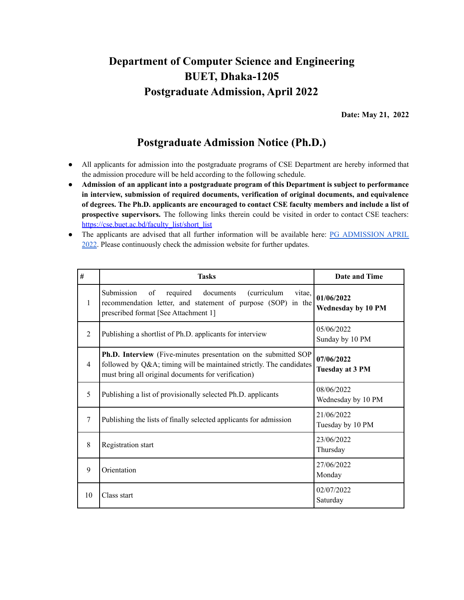## **Department of Computer Science and Engineering BUET, Dhaka-1205 Postgraduate Admission, April 2022**

**Date: May 21, 2022**

## **Postgraduate Admission Notice (Ph.D.)**

- All applicants for admission into the postgraduate programs of CSE Department are hereby informed that the admission procedure will be held according to the following schedule.
- **Admission of an applicant into a postgraduate program of this Department is subject to performance in interview, submission of required documents, verification of original documents, and equivalence of degrees. The Ph.D. applicants are encouraged to contact CSE faculty members and include a list of prospective supervisors.** The following links therein could be visited in order to contact CSE teachers: [https://cse.buet.ac.bd/faculty\\_list/short\\_list](https://cse.buet.ac.bd/faculty_list/short_list)
- The applicants are advised that all further information will be available here[:](https://cse.buet.ac.bd/home/news_detail/135) PG [ADMISSION](https://cse.buet.ac.bd/home/news_detail/146) APRIL [2022.](https://cse.buet.ac.bd/home/news_detail/146) Please continuously check the admission website for further updates.

| #              | <b>Tasks</b>                                                                                                                                                                                        | Date and Time                    |
|----------------|-----------------------------------------------------------------------------------------------------------------------------------------------------------------------------------------------------|----------------------------------|
| 1              | of<br>required documents<br>Submission<br>(curriculum<br>vitae,<br>recommendation letter, and statement of purpose (SOP) in the<br>prescribed format [See Attachment 1]                             | 01/06/2022<br>Wednesday by 10 PM |
| $\mathfrak{D}$ | Publishing a shortlist of Ph.D. applicants for interview                                                                                                                                            | 05/06/2022<br>Sunday by 10 PM    |
| $\overline{4}$ | <b>Ph.D. Interview</b> (Five-minutes presentation on the submitted SOP<br>followed by Q&A timing will be maintained strictly. The candidates<br>must bring all original documents for verification) | 07/06/2022<br>Tuesday at 3 PM    |
| 5              | Publishing a list of provisionally selected Ph.D. applicants                                                                                                                                        | 08/06/2022<br>Wednesday by 10 PM |
| 7              | Publishing the lists of finally selected applicants for admission                                                                                                                                   | 21/06/2022<br>Tuesday by 10 PM   |
| 8              | Registration start                                                                                                                                                                                  | 23/06/2022<br>Thursday           |
| 9              | Orientation                                                                                                                                                                                         | 27/06/2022<br>Monday             |
| 10             | Class start                                                                                                                                                                                         | 02/07/2022<br>Saturday           |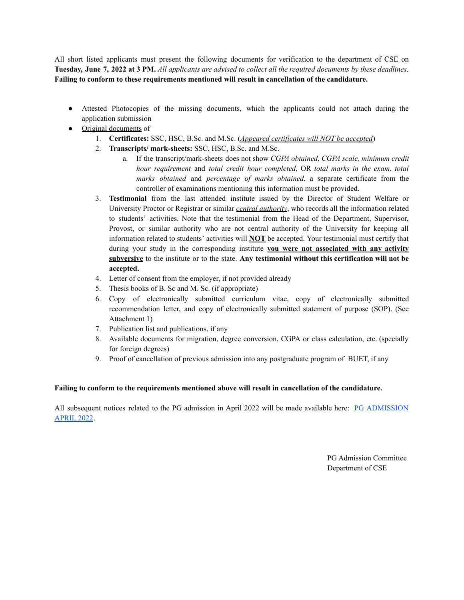All short listed applicants must present the following documents for verification to the department of CSE on Tuesday, June 7, 2022 at 3 PM. All applicants are advised to collect all the required documents by these deadlines. **Failing to conform to these requirements mentioned will result in cancellation of the candidature.**

- Attested Photocopies of the missing documents, which the applicants could not attach during the application submission
- Original documents of
	- 1. **Certificates:** SSC, HSC, B.Sc. and M.Sc. (*Appeared certificates will NOT be accepted*)
	- 2. **Transcripts/ mark-sheets:** SSC, HSC, B.Sc. and M.Sc.
		- a. If the transcript/mark-sheets does not show *CGPA obtained*, *CGPA scale, minimum credit hour requirement* and *total credit hour completed*, OR *total marks in the exam*, *total marks obtained* and *percentage of marks obtained*, a separate certificate from the controller of examinations mentioning this information must be provided.
	- 3. **Testimonial** from the last attended institute issued by the Director of Student Welfare or University Proctor or Registrar or similar *central authority*, who records all the information related to students' activities. Note that the testimonial from the Head of the Department, Supervisor, Provost, or similar authority who are not central authority of the University for keeping all information related to students' activities will **NOT** be accepted. Your testimonial must certify that during your study in the corresponding institute **you were not associated with any activity subversive** to the institute or to the state. **Any testimonial without this certification will not be accepted.**
	- 4. Letter of consent from the employer, if not provided already
	- 5. Thesis books of B. Sc and M. Sc. (if appropriate)
	- 6. Copy of electronically submitted curriculum vitae, copy of electronically submitted recommendation letter, and copy of electronically submitted statement of purpose (SOP). (See Attachment 1)
	- 7. Publication list and publications, if any
	- 8. Available documents for migration, degree conversion, CGPA or class calculation, etc. (specially for foreign degrees)
	- 9. Proof of cancellation of previous admission into any postgraduate program of BUET, if any

## **Failing to conform to the requirements mentioned above will result in cancellation of the candidature.**

All subsequent notices related to the PG admission in April 2022 will be made available here: [P](https://cse.buet.ac.bd/home/news_detail/135)G [ADMISSION](https://cse.buet.ac.bd/home/news_detail/146) [APRIL](https://cse.buet.ac.bd/home/news_detail/146) 2022.

> PG Admission Committee Department of CSE